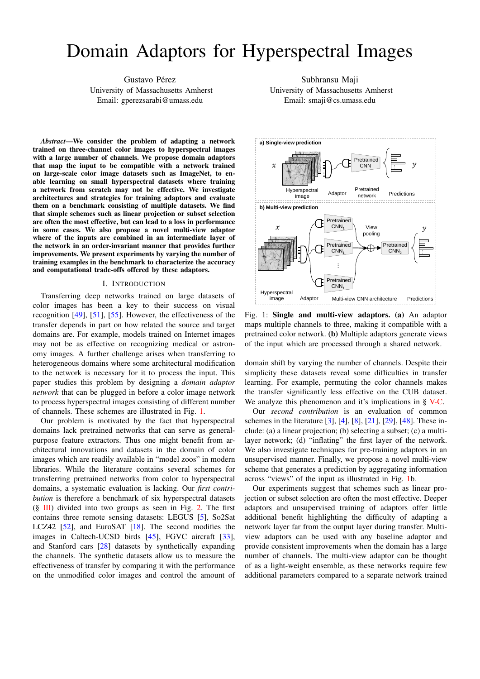# Domain Adaptors for Hyperspectral Images

Gustavo Pérez University of Massachusetts Amherst Email: gperezsarabi@umass.edu

*Abstract*—We consider the problem of adapting a network trained on three-channel color images to hyperspectral images with a large number of channels. We propose domain adaptors that map the input to be compatible with a network trained on large-scale color image datasets such as ImageNet, to enable learning on small hyperspectral datasets where training a network from scratch may not be effective. We investigate architectures and strategies for training adaptors and evaluate them on a benchmark consisting of multiple datasets. We find that simple schemes such as linear projection or subset selection are often the most effective, but can lead to a loss in performance in some cases. We also propose a novel multi-view adaptor where of the inputs are combined in an intermediate layer of the network in an order-invariant manner that provides further improvements. We present experiments by varying the number of training examples in the benchmark to characterize the accuracy and computational trade-offs offered by these adaptors.

#### I. INTRODUCTION

Transferring deep networks trained on large datasets of color images has been a key to their success on visual recognition [\[49\]](#page-7-0), [\[51\]](#page-7-1), [\[55\]](#page-7-2). However, the effectiveness of the transfer depends in part on how related the source and target domains are. For example, models trained on Internet images may not be as effective on recognizing medical or astronomy images. A further challenge arises when transferring to heterogeneous domains where some architectural modification to the network is necessary for it to process the input. This paper studies this problem by designing a *domain adaptor network* that can be plugged in before a color image network to process hyperspectral images consisting of different number of channels. These schemes are illustrated in Fig. [1.](#page-0-0)

Our problem is motivated by the fact that hyperspectral domains lack pretrained networks that can serve as generalpurpose feature extractors. Thus one might benefit from architectural innovations and datasets in the domain of color images which are readily available in "model zoos" in modern libraries. While the literature contains several schemes for transferring pretrained networks from color to hyperspectral domains, a systematic evaluation is lacking. Our *first contribution* is therefore a benchmark of six hyperspectral datasets  $(\S$  [III\)](#page-1-0) divided into two groups as seen in Fig. [2.](#page-2-0) The first contains three remote sensing datasets: LEGUS [\[5\]](#page-6-0), So2Sat LCZ42 [\[52\]](#page-7-3), and EuroSAT [\[18\]](#page-6-1). The second modifies the images in Caltech-UCSD birds [\[45\]](#page-6-2), FGVC aircraft [\[33\]](#page-6-3), and Stanford cars [\[28\]](#page-6-4) datasets by synthetically expanding the channels. The synthetic datasets allow us to measure the effectiveness of transfer by comparing it with the performance on the unmodified color images and control the amount of

Subhransu Maji University of Massachusetts Amherst Email: smaji@cs.umass.edu

<span id="page-0-0"></span>

Fig. 1: Single and multi-view adaptors. (a) An adaptor maps multiple channels to three, making it compatible with a pretrained color network. (b) Multiple adaptors generate views of the input which are processed through a shared network.

domain shift by varying the number of channels. Despite their simplicity these datasets reveal some difficulties in transfer learning. For example, permuting the color channels makes the transfer significantly less effective on the CUB dataset. We analyze this phenomenon and it's implications in § [V-C.](#page-5-0)

Our *second contribution* is an evaluation of common schemes in the literature [\[3\]](#page-6-5), [\[4\]](#page-6-6), [\[8\]](#page-6-7), [\[21\]](#page-6-8), [\[29\]](#page-6-9), [\[48\]](#page-7-4). These include: (a) a linear projection; (b) selecting a subset; (c) a multilayer network; (d) "inflating" the first layer of the network. We also investigate techniques for pre-training adaptors in an unsupervised manner. Finally, we propose a novel multi-view scheme that generates a prediction by aggregating information across "views" of the input as illustrated in Fig. [1b](#page-0-0).

Our experiments suggest that schemes such as linear projection or subset selection are often the most effective. Deeper adaptors and unsupervised training of adaptors offer little additional benefit highlighting the difficulty of adapting a network layer far from the output layer during transfer. Multiview adaptors can be used with any baseline adaptor and provide consistent improvements when the domain has a large number of channels. The multi-view adaptor can be thought of as a light-weight ensemble, as these networks require few additional parameters compared to a separate network trained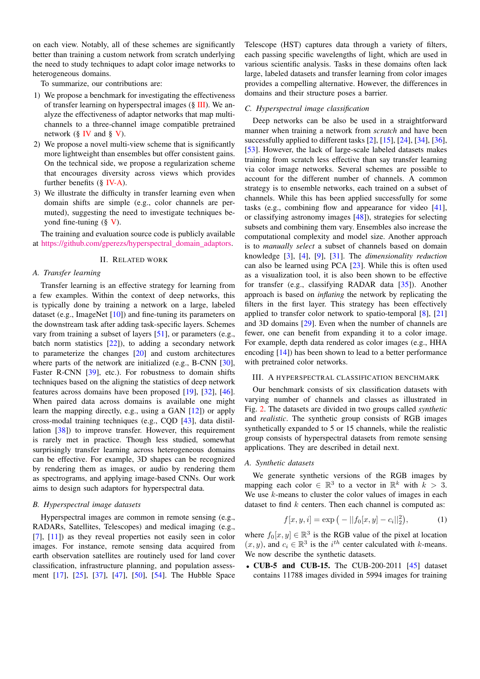on each view. Notably, all of these schemes are significantly better than training a custom network from scratch underlying the need to study techniques to adapt color image networks to heterogeneous domains.

To summarize, our contributions are:

- 1) We propose a benchmark for investigating the effectiveness of transfer learning on hyperspectral images (§ [III\)](#page-1-0). We analyze the effectiveness of adaptor networks that map multichannels to a three-channel image compatible pretrained network ( $\S$  [IV](#page-2-1) and  $\S$  [V\)](#page-3-0).
- 2) We propose a novel multi-view scheme that is significantly more lightweight than ensembles but offer consistent gains. On the technical side, we propose a regularization scheme that encourages diversity across views which provides further benefits (§ [IV-A\)](#page-3-1).
- 3) We illustrate the difficulty in transfer learning even when domain shifts are simple (e.g., color channels are permuted), suggesting the need to investigate techniques beyond fine-tuning (§ [V\)](#page-3-0).

The training and evaluation source code is publicly available at [https://github.com/gperezs/hyperspectral](https://github.com/gperezs/hyperspectral_domain_adaptors)\_domain\_adaptors.

#### II. RELATED WORK

#### *A. Transfer learning*

Transfer learning is an effective strategy for learning from a few examples. Within the context of deep networks, this is typically done by training a network on a large, labeled dataset (e.g., ImageNet [\[10\]](#page-6-10)) and fine-tuning its parameters on the downstream task after adding task-specific layers. Schemes vary from training a subset of layers [\[51\]](#page-7-1), or parameters (e.g., batch norm statistics  $[22]$ , to adding a secondary network to parameterize the changes [\[20\]](#page-6-12) and custom architectures where parts of the network are initialized (e.g., B-CNN [\[30\]](#page-6-13), Faster R-CNN [\[39\]](#page-6-14), etc.). For robustness to domain shifts techniques based on the aligning the statistics of deep network features across domains have been proposed [\[19\]](#page-6-15), [\[32\]](#page-6-16), [\[46\]](#page-6-17). When paired data across domains is available one might learn the mapping directly, e.g., using a GAN [\[12\]](#page-6-18)) or apply cross-modal training techniques (e.g., CQD [\[43\]](#page-6-19), data distillation [\[38\]](#page-6-20)) to improve transfer. However, this requirement is rarely met in practice. Though less studied, somewhat surprisingly transfer learning across heterogeneous domains can be effective. For example, 3D shapes can be recognized by rendering them as images, or audio by rendering them as spectrograms, and applying image-based CNNs. Our work aims to design such adaptors for hyperspectral data.

#### *B. Hyperspectral image datasets*

Hyperspectral images are common in remote sensing (e.g., RADARs, Satellites, Telescopes) and medical imaging (e.g., [\[7\]](#page-6-21), [\[11\]](#page-6-22)) as they reveal properties not easily seen in color images. For instance, remote sensing data acquired from earth observation satellites are routinely used for land cover classification, infrastructure planning, and population assessment [\[17\]](#page-6-23), [\[25\]](#page-6-24), [\[37\]](#page-6-25), [\[47\]](#page-6-26), [\[50\]](#page-7-5), [\[54\]](#page-7-6). The Hubble Space

Telescope (HST) captures data through a variety of filters, each passing specific wavelengths of light, which are used in various scientific analysis. Tasks in these domains often lack large, labeled datasets and transfer learning from color images provides a compelling alternative. However, the differences in domains and their structure poses a barrier.

#### *C. Hyperspectral image classification*

Deep networks can be also be used in a straightforward manner when training a network from *scratch* and have been successfully applied to different tasks [\[2\]](#page-6-27), [\[15\]](#page-6-28), [\[24\]](#page-6-29), [\[34\]](#page-6-30), [\[36\]](#page-6-31), [\[53\]](#page-7-7). However, the lack of large-scale labeled datasets makes training from scratch less effective than say transfer learning via color image networks. Several schemes are possible to account for the different number of channels. A common strategy is to ensemble networks, each trained on a subset of channels. While this has been applied successfully for some tasks (e.g., combining flow and appearance for video [\[41\]](#page-6-32), or classifying astronomy images [\[48\]](#page-7-4)), strategies for selecting subsets and combining them vary. Ensembles also increase the computational complexity and model size. Another approach is to *manually select* a subset of channels based on domain knowledge [\[3\]](#page-6-5), [\[4\]](#page-6-6), [\[9\]](#page-6-33), [\[31\]](#page-6-34). The *dimensionality reduction* can also be learned using PCA [\[23\]](#page-6-35). While this is often used as a visualization tool, it is also been shown to be effective for transfer (e.g., classifying RADAR data [\[35\]](#page-6-36)). Another approach is based on *inflating* the network by replicating the filters in the first layer. This strategy has been effectively applied to transfer color network to spatio-temporal [\[8\]](#page-6-7), [\[21\]](#page-6-8) and 3D domains [\[29\]](#page-6-9). Even when the number of channels are fewer, one can benefit from expanding it to a color image. For example, depth data rendered as color images (e.g., HHA encoding [\[14\]](#page-6-37)) has been shown to lead to a better performance with pretrained color networks.

#### <span id="page-1-0"></span>III. A HYPERSPECTRAL CLASSIFICATION BENCHMARK

Our benchmark consists of six classification datasets with varying number of channels and classes as illustrated in Fig. [2.](#page-2-0) The datasets are divided in two groups called *synthetic* and *realistic*. The synthetic group consists of RGB images synthetically expanded to 5 or 15 channels, while the realistic group consists of hyperspectral datasets from remote sensing applications. They are described in detail next.

#### *A. Synthetic datasets*

We generate synthetic versions of the RGB images by mapping each color  $\in \mathbb{R}^3$  to a vector in  $\mathbb{R}^k$  with  $k > 3$ . We use  $k$ -means to cluster the color values of images in each dataset to find  $k$  centers. Then each channel is computed as:

$$
f[x, y, i] = \exp(-||f_0[x, y] - c_i||_2^2), \tag{1}
$$

where  $f_0[x, y] \in \mathbb{R}^3$  is the RGB value of the pixel at location  $(x, y)$ , and  $c_i \in \mathbb{R}^3$  is the  $i^{th}$  center calculated with k-means. We now describe the synthetic datasets.

• CUB-5 and CUB-15. The CUB-200-2011 [\[45\]](#page-6-2) dataset contains 11788 images divided in 5994 images for training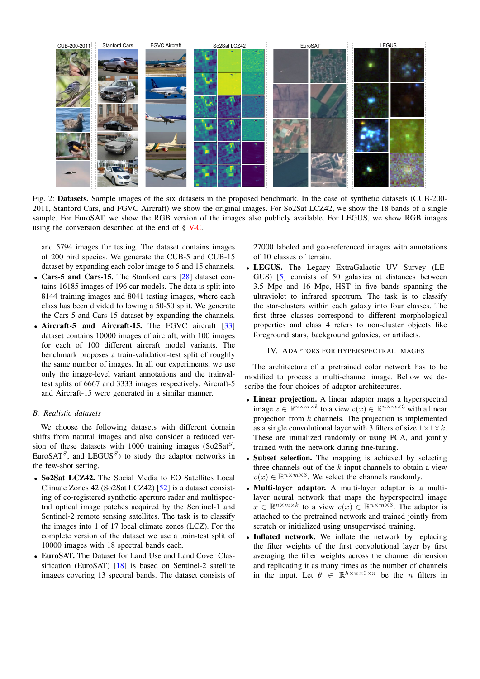<span id="page-2-0"></span>

Fig. 2: Datasets. Sample images of the six datasets in the proposed benchmark. In the case of synthetic datasets (CUB-200- 2011, Stanford Cars, and FGVC Aircraft) we show the original images. For So2Sat LCZ42, we show the 18 bands of a single sample. For EuroSAT, we show the RGB version of the images also publicly available. For LEGUS, we show RGB images using the conversion described at the end of  $\S$  [V-C.](#page-5-0)

and 5794 images for testing. The dataset contains images of 200 bird species. We generate the CUB-5 and CUB-15 dataset by expanding each color image to 5 and 15 channels.

- Cars-5 and Cars-15. The Stanford cars [\[28\]](#page-6-4) dataset contains 16185 images of 196 car models. The data is split into 8144 training images and 8041 testing images, where each class has been divided following a 50-50 split. We generate the Cars-5 and Cars-15 dataset by expanding the channels.
- Aircraft-5 and Aircraft-15. The FGVC aircraft [\[33\]](#page-6-3) dataset contains 10000 images of aircraft, with 100 images for each of 100 different aircraft model variants. The benchmark proposes a train-validation-test split of roughly the same number of images. In all our experiments, we use only the image-level variant annotations and the trainvaltest splits of 6667 and 3333 images respectively. Aircraft-5 and Aircraft-15 were generated in a similar manner.

### *B. Realistic datasets*

We choose the following datasets with different domain shifts from natural images and also consider a reduced version of these datasets with 1000 training images  $(So2Sat<sup>S</sup>,$ EuroSAT<sup>S</sup>, and LEGUS<sup>S</sup>) to study the adaptor networks in the few-shot setting.

- So2Sat LCZ42. The Social Media to EO Satellites Local Climate Zones 42 (So2Sat LCZ42) [\[52\]](#page-7-3) is a dataset consisting of co-registered synthetic aperture radar and multispectral optical image patches acquired by the Sentinel-1 and Sentinel-2 remote sensing satellites. The task is to classify the images into 1 of 17 local climate zones (LCZ). For the complete version of the dataset we use a train-test split of 10000 images with 18 spectral bands each.
- EuroSAT. The Dataset for Land Use and Land Cover Classification (EuroSAT) [\[18\]](#page-6-1) is based on Sentinel-2 satellite images covering 13 spectral bands. The dataset consists of

27000 labeled and geo-referenced images with annotations of 10 classes of terrain.

• LEGUS. The Legacy ExtraGalactic UV Survey (LE-GUS) [\[5\]](#page-6-0) consists of 50 galaxies at distances between 3.5 Mpc and 16 Mpc, HST in five bands spanning the ultraviolet to infrared spectrum. The task is to classify the star-clusters within each galaxy into four classes. The first three classes correspond to different morphological properties and class 4 refers to non-cluster objects like foreground stars, background galaxies, or artifacts.

#### IV. ADAPTORS FOR HYPERSPECTRAL IMAGES

<span id="page-2-1"></span>The architecture of a pretrained color network has to be modified to process a multi-channel image. Bellow we describe the four choices of adaptor architectures.

- Linear projection. A linear adaptor maps a hyperspectral image  $x \in \mathbb{R}^{n \times m \times k}$  to a view  $v(x) \in \mathbb{R}^{n \times m \times 3}$  with a linear projection from  $k$  channels. The projection is implemented as a single convolutional layer with 3 filters of size  $1 \times 1 \times k$ . These are initialized randomly or using PCA, and jointly trained with the network during fine-tuning.
- Subset selection. The mapping is achieved by selecting three channels out of the  $k$  input channels to obtain a view  $v(x) \in \mathbb{R}^{n \times m \times 3}$ . We select the channels randomly.
- Multi-layer adaptor. A multi-layer adaptor is a multilayer neural network that maps the hyperspectral image  $x \in \mathbb{R}^{n \times m \times k}$  to a view  $v(x) \in \mathbb{R}^{n \times m \times 3}$ . The adaptor is attached to the pretrained network and trained jointly from scratch or initialized using unsupervised training.
- Inflated network. We inflate the network by replacing the filter weights of the first convolutional layer by first averaging the filter weights across the channel dimension and replicating it as many times as the number of channels in the input. Let  $\theta \in \mathbb{R}^{h \times w \times 3 \times n}$  be the *n* filters in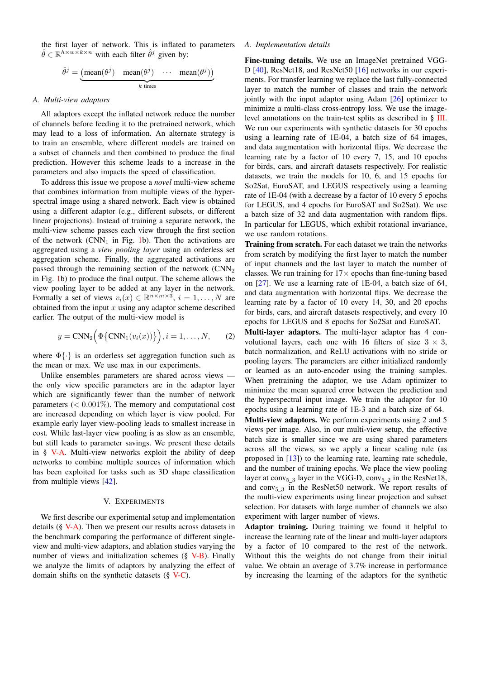the first layer of network. This is inflated to parameters  $\hat{\theta} \in \mathbb{R}^{h \times w \times k \times n}$  with each filter  $\hat{\theta}^j$  given by:

$$
\hat{\theta}^j = \underbrace{\text{(mean}(\theta^j) \quad \text{mean}(\theta^j) \quad \cdots \quad \text{mean}(\theta^j))}_{k \text{ times}}
$$

#### <span id="page-3-1"></span>*A. Multi-view adaptors*

All adaptors except the inflated network reduce the number of channels before feeding it to the pretrained network, which may lead to a loss of information. An alternate strategy is to train an ensemble, where different models are trained on a subset of channels and then combined to produce the final prediction. However this scheme leads to a increase in the parameters and also impacts the speed of classification.

To address this issue we propose a *novel* multi-view scheme that combines information from multiple views of the hyperspectral image using a shared network. Each view is obtained using a different adaptor (e.g., different subsets, or different linear projections). Instead of training a separate network, the multi-view scheme passes each view through the first section of the network  $(CNN_1$  in Fig. [1b](#page-0-0)). Then the activations are aggregated using a *view pooling layer* using an orderless set aggregation scheme. Finally, the aggregated activations are passed through the remaining section of the network  $(CNN<sub>2</sub>)$ in Fig. [1b](#page-0-0)) to produce the final output. The scheme allows the view pooling layer to be added at any layer in the network. Formally a set of views  $v_i(x) \in \mathbb{R}^{n \times m \times 3}$ ,  $i = 1, ..., N$  are obtained from the input  $x$  using any adaptor scheme described earlier. The output of the multi-view model is

$$
y = \text{CNN}_2\Big(\Phi\big\{\text{CNN}_1(v_i(x))\big\}\Big), i = 1, \dots, N, \qquad (2)
$$

where  $\Phi\{\cdot\}$  is an orderless set aggregation function such as the mean or max. We use max in our experiments.

Unlike ensembles parameters are shared across views the only view specific parameters are in the adaptor layer which are significantly fewer than the number of network parameters  $(< 0.001\%)$ . The memory and computational cost are increased depending on which layer is view pooled. For example early layer view-pooling leads to smallest increase in cost. While last-layer view pooling is as slow as an ensemble, but still leads to parameter savings. We present these details in § [V-A.](#page-3-2) Multi-view networks exploit the ability of deep networks to combine multiple sources of information which has been exploited for tasks such as 3D shape classification from multiple views [\[42\]](#page-6-38).

#### V. EXPERIMENTS

<span id="page-3-0"></span>We first describe our experimental setup and implementation details (§ [V-A\)](#page-3-2). Then we present our results across datasets in the benchmark comparing the performance of different singleview and multi-view adaptors, and ablation studies varying the number of views and initialization schemes (§ [V-B\)](#page-4-0). Finally we analyze the limits of adaptors by analyzing the effect of domain shifts on the synthetic datasets (§ [V-C\)](#page-5-0).

#### <span id="page-3-2"></span>*A. Implementation details*

Fine-tuning details. We use an ImageNet pretrained VGG-D [\[40\]](#page-6-39), ResNet18, and ResNet50 [\[16\]](#page-6-40) networks in our experiments. For transfer learning we replace the last fully-connected layer to match the number of classes and train the network jointly with the input adaptor using Adam [\[26\]](#page-6-41) optimizer to minimize a multi-class cross-entropy loss. We use the imagelevel annotations on the train-test splits as described in § [III.](#page-1-0) We run our experiments with synthetic datasets for 30 epochs using a learning rate of 1E-04, a batch size of 64 images, and data augmentation with horizontal flips. We decrease the learning rate by a factor of 10 every 7, 15, and 10 epochs for birds, cars, and aircraft datasets respectively. For realistic datasets, we train the models for 10, 6, and 15 epochs for So2Sat, EuroSAT, and LEGUS respectively using a learning rate of 1E-04 (with a decrease by a factor of 10 every 5 epochs for LEGUS, and 4 epochs for EuroSAT and So2Sat). We use a batch size of 32 and data augmentation with random flips. In particular for LEGUS, which exhibit rotational invariance, we use random rotations.

Training from scratch. For each dataset we train the networks from scratch by modifying the first layer to match the number of input channels and the last layer to match the number of classes. We run training for  $17\times$  epochs than fine-tuning based on [\[27\]](#page-6-42). We use a learning rate of 1E-04, a batch size of 64, and data augmentation with horizontal flips. We decrease the learning rate by a factor of 10 every 14, 30, and 20 epochs for birds, cars, and aircraft datasets respectively, and every 10 epochs for LEGUS and 8 epochs for So2Sat and EuroSAT.

Multi-layer adaptors. The multi-layer adaptor has 4 convolutional layers, each one with 16 filters of size  $3 \times 3$ , batch normalization, and ReLU activations with no stride or pooling layers. The parameters are either initialized randomly or learned as an auto-encoder using the training samples. When pretraining the adaptor, we use Adam optimizer to minimize the mean squared error between the prediction and the hyperspectral input image. We train the adaptor for 10 epochs using a learning rate of 1E-3 and a batch size of 64.

Multi-view adaptors. We perform experiments using 2 and 5 views per image. Also, in our multi-view setup, the effective batch size is smaller since we are using shared parameters across all the views, so we apply a linear scaling rule (as proposed in [\[13\]](#page-6-43)) to the learning rate, learning rate schedule, and the number of training epochs. We place the view pooling layer at  $conv_{5_3}$  layer in the VGG-D,  $conv_{5_2}$  in the ResNet18, and  $conv_{5,3}$  in the ResNet50 network. We report results of the multi-view experiments using linear projection and subset selection. For datasets with large number of channels we also experiment with larger number of views.

Adaptor training. During training we found it helpful to increase the learning rate of the linear and multi-layer adaptors by a factor of 10 compared to the rest of the network. Without this the weights do not change from their initial value. We obtain an average of 3.7% increase in performance by increasing the learning of the adaptors for the synthetic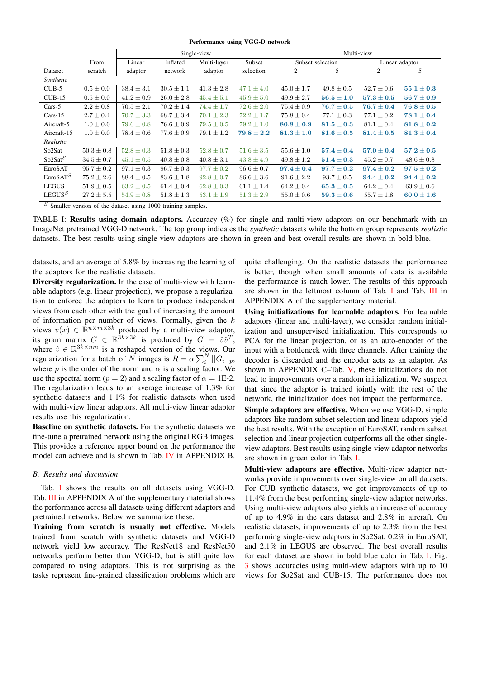Performance using VGG-D network

<span id="page-4-1"></span>

|                      |                | Single-view    |                |                |                | Multi-view       |                |                |                |
|----------------------|----------------|----------------|----------------|----------------|----------------|------------------|----------------|----------------|----------------|
|                      | From           | Linear         | Inflated       | Multi-layer    | Subset         | Subset selection |                | Linear adaptor |                |
| Dataset              | scratch        | adaptor        | network        | adaptor        | selection      | 2                | 5              | 2              | 5              |
| Synthetic            |                |                |                |                |                |                  |                |                |                |
| $CUB-5$              | $0.5 \pm 0.0$  | $38.4 \pm 3.1$ | $30.5 \pm 1.1$ | $41.3 \pm 2.8$ | $47.1 \pm 4.0$ | $45.0 \pm 1.7$   | $49.8 \pm 0.5$ | $52.7 \pm 0.6$ | $55.1 \pm 0.3$ |
| $CUB-15$             | $0.5 \pm 0.0$  | $41.2 \pm 0.9$ | $26.0 \pm 2.8$ | $45.4 \pm 5.1$ | $45.9 \pm 5.0$ | $49.9 \pm 2.7$   | $56.5 \pm 1.0$ | $57.3 \pm 0.5$ | $56.7 \pm 0.9$ |
| $Cars-5$             | $2.2 \pm 0.8$  | $70.5 \pm 2.1$ | $70.2 \pm 1.4$ | $74.4 \pm 1.7$ | $72.6 \pm 2.0$ | $75.4 \pm 0.9$   | $76.7 \pm 0.5$ | $76.7 \pm 0.4$ | $76.8 \pm 0.5$ |
| $Cars-15$            | $2.7 \pm 0.4$  | $70.7 \pm 3.3$ | $68.7 \pm 3.4$ | $70.1 \pm 2.3$ | $72.2 \pm 1.7$ | $75.8 \pm 0.4$   | $77.1 \pm 0.3$ | $77.1 \pm 0.2$ | $78.1 \pm 0.4$ |
| Aircraft-5           | $1.0 \pm 0.0$  | $79.6 \pm 0.8$ | $76.6 \pm 0.9$ | $79.5 \pm 0.5$ | $79.2 \pm 1.0$ | $80.8 \pm 0.9$   | $81.5 \pm 0.3$ | $81.1 \pm 0.4$ | $81.8 \pm 0.2$ |
| Aircraft-15          | $1.0 \pm 0.0$  | $78.4 \pm 0.6$ | $77.6 \pm 0.9$ | $79.1 \pm 1.2$ | $79.8 \pm 2.2$ | $81.3 \pm 1.0$   | $81.6 \pm 0.5$ | $81.4 \pm 0.5$ | $81.3 \pm 0.4$ |
| Realistic            |                |                |                |                |                |                  |                |                |                |
| So <sub>2</sub> Sat  | $50.3 \pm 0.8$ | $52.8 \pm 0.3$ | $51.8 \pm 0.3$ | $52.8 \pm 0.7$ | $51.6 \pm 3.5$ | $55.6 \pm 1.0$   | $57.4 \pm 0.4$ | $57.0 \pm 0.4$ | $57.2 \pm 0.5$ |
| So2Sat <sup>S</sup>  | $34.5 \pm 0.7$ | $45.1 \pm 0.5$ | $40.8 \pm 0.8$ | $40.8 \pm 3.1$ | $43.8 \pm 4.9$ | $49.8 \pm 1.2$   | $51.4 \pm 0.3$ | $45.2 \pm 0.7$ | $48.6 \pm 0.8$ |
| EuroSAT              | $95.7 \pm 0.2$ | $97.1 \pm 0.3$ | $96.7 \pm 0.3$ | $97.7 \pm 0.2$ | $96.6 \pm 0.7$ | $97.4 \pm 0.4$   | $97.7 \pm 0.2$ | $97.4 \pm 0.2$ | $97.5 \pm 0.2$ |
| EuroSAT <sup>S</sup> | $75.2 \pm 2.6$ | $88.4 \pm 0.5$ | $83.6 \pm 1.8$ | $92.8 \pm 0.7$ | $86.6 \pm 3.6$ | $91.6 \pm 2.2$   | $93.7 \pm 0.5$ | $94.4 \pm 0.2$ | $94.4 \pm 0.2$ |
| <b>LEGUS</b>         | $51.9 \pm 0.5$ | $63.2 \pm 0.5$ | $61.4 \pm 0.4$ | $62.8 \pm 0.3$ | $61.1 \pm 1.4$ | $64.2 \pm 0.4$   | $65.3 \pm 0.5$ | $64.2 \pm 0.4$ | $63.9 \pm 0.6$ |
| LEGUS <sup>S</sup>   | $27.2 \pm 5.5$ | $54.9 \pm 0.8$ | $51.8 \pm 1.3$ | $53.1 \pm 1.9$ | $51.3 \pm 2.9$ | $55.0 \pm 0.6$   | $59.3 \pm 0.6$ | $55.7 \pm 1.8$ | $60.0 \pm 1.6$ |

 $S$  Smaller version of the dataset using 1000 training samples.

TABLE I: Results using domain adaptors. Accuracy (%) for single and multi-view adaptors on our benchmark with an ImageNet pretrained VGG-D network. The top group indicates the *synthetic* datasets while the bottom group represents *realistic* datasets. The best results using single-view adaptors are shown in green and best overall results are shown in bold blue.

datasets, and an average of 5.8% by increasing the learning of the adaptors for the realistic datasets.

Diversity regularization. In the case of multi-view with learnable adaptors (e.g. linear projection), we propose a regularization to enforce the adaptors to learn to produce independent views from each other with the goal of increasing the amount of information per number of views. Formally, given the  $k$ views  $v(x) \in \mathbb{R}^{n \times m \times 3k}$  produced by a multi-view adaptor, its gram matrix  $G \in \mathbb{R}^{\bar{3}k \times 3k}$  is produced by  $G = \hat{v}\hat{v}^T$ , where  $\hat{v} \in \mathbb{R}^{3k \times nm}$  is a reshaped version of the views. Our regularization for a batch of N images is  $R = \alpha \sum_{i=1}^{N} ||G_i||_p$ , where p is the order of the norm and  $\alpha$  is a scaling factor. We use the spectral norm ( $p = 2$ ) and a scaling factor of  $\alpha = 1E-2$ . The regularization leads to an average increase of 1.3% for synthetic datasets and 1.1% for realistic datasets when used with multi-view linear adaptors. All multi-view linear adaptor results use this regularization.

Baseline on synthetic datasets. For the synthetic datasets we fine-tune a pretrained network using the original RGB images. This provides a reference upper bound on the performance the model can achieve and is shown in Tab. [IV](#page--1-0) in APPENDIX B.

#### <span id="page-4-0"></span>*B. Results and discussion*

Tab. [I](#page-4-1) shows the results on all datasets using VGG-D. Tab. [III](#page--1-1) in APPENDIX A of the supplementary material shows the performance across all datasets using different adaptors and pretrained networks. Below we summarize these.

Training from scratch is usually not effective. Models trained from scratch with synthetic datasets and VGG-D network yield low accuracy. The ResNet18 and ResNet50 networks perform better than VGG-D, but is still quite low compared to using adaptors. This is not surprising as the tasks represent fine-grained classification problems which are

quite challenging. On the realistic datasets the performance is better, though when small amounts of data is available the performance is much lower. The results of this approach are shown in the leftmost column of Tab. [I](#page-4-1) and Tab. [III](#page--1-1) in APPENDIX A of the supplementary material.

Using initializations for learnable adaptors. For learnable adaptors (linear and multi-layer), we consider random initialization and unsupervised initialization. This corresponds to PCA for the linear projection, or as an auto-encoder of the input with a bottleneck with three channels. After training the decoder is discarded and the encoder acts as an adaptor. As shown in APPENDIX C–Tab. [V,](#page--1-2) these initializations do not lead to improvements over a random initialization. We suspect that since the adaptor is trained jointly with the rest of the network, the initialization does not impact the performance.

Simple adaptors are effective. When we use VGG-D, simple adaptors like random subset selection and linear adaptors yield the best results. With the exception of EuroSAT, random subset selection and linear projection outperforms all the other singleview adaptors. Best results using single-view adaptor networks are shown in green color in Tab. [I.](#page-4-1)

Multi-view adaptors are effective. Multi-view adaptor networks provide improvements over single-view on all datasets. For CUB synthetic datasets, we get improvements of up to 11.4% from the best performing single-view adaptor networks. Using multi-view adaptors also yields an increase of accuracy of up to 4.9% in the cars dataset and 2.8% in aircraft. On realistic datasets, improvements of up to 2.3% from the best performing single-view adaptors in So2Sat, 0.2% in EuroSAT, and 2.1% in LEGUS are observed. The best overall results for each dataset are shown in bold blue color in Tab. [I.](#page-4-1) Fig. [3](#page-5-1) shows accuracies using multi-view adaptors with up to 10 views for So2Sat and CUB-15. The performance does not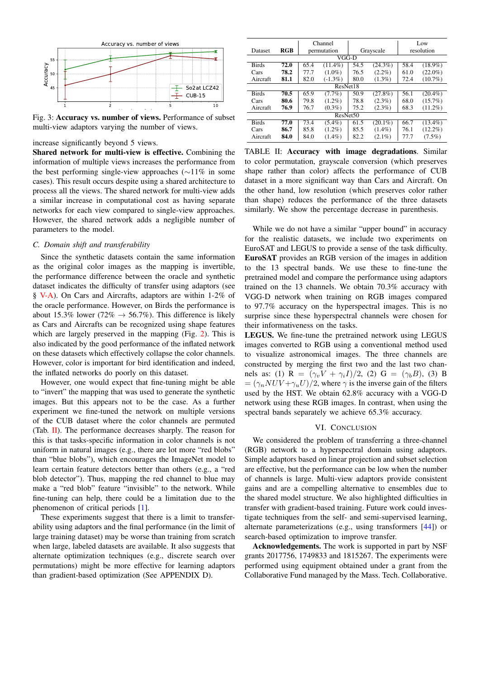<span id="page-5-1"></span>

Fig. 3: Accuracy vs. number of views. Performance of subset multi-view adaptors varying the number of views.

#### increase significantly beyond 5 views.

Shared network for multi-view is effective. Combining the information of multiple views increases the performance from the best performing single-view approaches (∼11% in some cases). This result occurs despite using a shared architecture to process all the views. The shared network for multi-view adds a similar increase in computational cost as having separate networks for each view compared to single-view approaches. However, the shared network adds a negligible number of parameters to the model.

#### <span id="page-5-0"></span>*C. Domain shift and transferability*

Since the synthetic datasets contain the same information as the original color images as the mapping is invertible, the performance difference between the oracle and synthetic dataset indicates the difficulty of transfer using adaptors (see § [V-A\)](#page-3-2). On Cars and Aircrafts, adaptors are within 1-2% of the oracle performance. However, on Birds the performance is about 15.3% lower (72%  $\rightarrow$  56.7%). This difference is likely as Cars and Aircrafts can be recognized using shape features which are largely preserved in the mapping (Fig. [2\)](#page-2-0). This is also indicated by the good performance of the inflated network on these datasets which effectively collapse the color channels. However, color is important for bird identification and indeed, the inflated networks do poorly on this dataset.

However, one would expect that fine-tuning might be able to "invert" the mapping that was used to generate the synthetic images. But this appears not to be the case. As a further experiment we fine-tuned the network on multiple versions of the CUB dataset where the color channels are permuted (Tab. [II\)](#page-5-2). The performance decreases sharply. The reason for this is that tasks-specific information in color channels is not uniform in natural images (e.g., there are lot more "red blobs" than "blue blobs"), which encourages the ImageNet model to learn certain feature detectors better than others (e.g., a "red blob detector"). Thus, mapping the red channel to blue may make a "red blob" feature "invisible" to the network. While fine-tuning can help, there could be a limitation due to the phenomenon of critical periods [\[1\]](#page-6-44).

These experiments suggest that there is a limit to transferability using adaptors and the final performance (in the limit of large training dataset) may be worse than training from scratch when large, labeled datasets are available. It also suggests that alternate optimization techniques (e.g., discrete search over permutations) might be more effective for learning adaptors than gradient-based optimization (See APPENDIX D).

<span id="page-5-2"></span>

|                      |            |      | Channel     |      |            |      | Low        |  |  |  |
|----------------------|------------|------|-------------|------|------------|------|------------|--|--|--|
| Dataset              | <b>RGB</b> |      | permutation |      | Grayscale  |      | resolution |  |  |  |
|                      | VGG-D      |      |             |      |            |      |            |  |  |  |
| <b>Birds</b>         | 72.0       | 65.4 | $(11.4\%)$  | 54.5 | $(24.3\%)$ | 58.4 | $(18.9\%)$ |  |  |  |
| Cars                 | 78.2       | 77.7 | $(1.0\%)$   | 76.5 | $(2.2\%)$  | 61.0 | $(22.0\%)$ |  |  |  |
| Aircraft             | 81.1       | 82.0 | $(-1.3\%)$  | 80.0 | $(1.3\%)$  | 72.4 | $(10.7\%)$ |  |  |  |
|                      | ResNet18   |      |             |      |            |      |            |  |  |  |
| <b>Birds</b>         | 70.5       | 65.9 | $(7.7\%)$   | 50.9 | $(27.8\%)$ | 56.1 | $(20.4\%)$ |  |  |  |
| Cars                 | 80.6       | 79.8 | $(1.2\%)$   | 78.8 | $(2.3\%)$  | 68.0 | $(15.7\%)$ |  |  |  |
| Aircraft             | 76.9       | 76.7 | $(0.3\%)$   | 75.2 | $(2.3\%)$  | 68.3 | $(11.2\%)$ |  |  |  |
| ResNet <sub>50</sub> |            |      |             |      |            |      |            |  |  |  |
| <b>Birds</b>         | 77.0       | 73.4 | $(5.4\%)$   | 61.5 | $(20.1\%)$ | 66.7 | $(13.4\%)$ |  |  |  |
| Cars                 | 86.7       | 85.8 | $(1.2\%)$   | 85.5 | $(1.4\%)$  | 76.1 | $(12.2\%)$ |  |  |  |
| Aircraft             | 84.0       | 84.0 | $(1.4\%)$   | 82.2 | $(2.1\%)$  | 77.7 | $(7.5\%)$  |  |  |  |

TABLE II: Accuracy with image degradations. Similar to color permutation, grayscale conversion (which preserves shape rather than color) affects the performance of CUB dataset in a more significant way than Cars and Aircraft. On the other hand, low resolution (which preserves color rather than shape) reduces the performance of the three datasets similarly. We show the percentage decrease in parenthesis.

While we do not have a similar "upper bound" in accuracy for the realistic datasets, we include two experiments on EuroSAT and LEGUS to provide a sense of the task difficulty. EuroSAT provides an RGB version of the images in addition to the 13 spectral bands. We use these to fine-tune the pretrained model and compare the performance using adaptors trained on the 13 channels. We obtain 70.3% accuracy with VGG-D network when training on RGB images compared to 97.7% accuracy on the hyperspectral images. This is no surprise since these hyperspectral channels were chosen for their informativeness on the tasks.

LEGUS. We fine-tune the pretrained network using LEGUS images converted to RGB using a conventional method used to visualize astronomical images. The three channels are constructed by merging the first two and the last two channels as: (1) R =  $(\gamma_v V + \gamma_i I)/2$ , (2) G =  $(\gamma_b B)$ , (3) B  $= (\gamma_n NUV + \gamma_u U)/2$ , where  $\gamma$  is the inverse gain of the filters used by the HST. We obtain 62.8% accuracy with a VGG-D network using these RGB images. In contrast, when using the spectral bands separately we achieve 65.3% accuracy.

#### VI. CONCLUSION

We considered the problem of transferring a three-channel (RGB) network to a hyperspectral domain using adaptors. Simple adaptors based on linear projection and subset selection are effective, but the performance can be low when the number of channels is large. Multi-view adaptors provide consistent gains and are a compelling alternative to ensembles due to the shared model structure. We also highlighted difficulties in transfer with gradient-based training. Future work could investigate techniques from the self- and semi-supervised learning, alternate parameterizations (e.g., using transformers [\[44\]](#page-6-45)) or search-based optimization to improve transfer.

Acknowledgements. The work is supported in part by NSF grants 2017756, 1749833 and 1815267. The experiments were performed using equipment obtained under a grant from the Collaborative Fund managed by the Mass. Tech. Collaborative.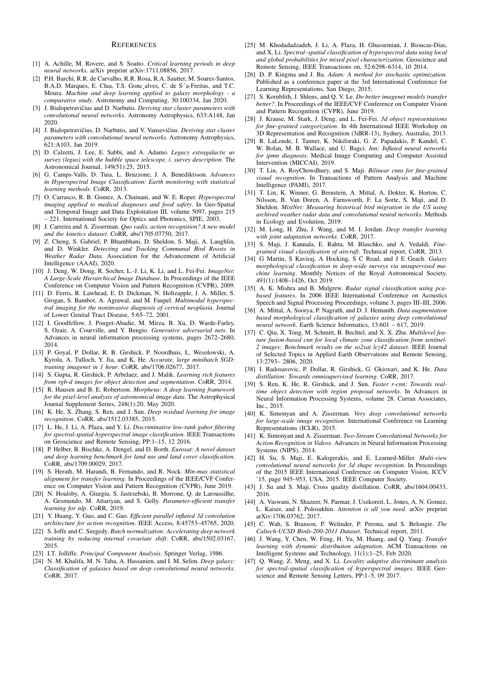#### **REFERENCES**

- <span id="page-6-44"></span>[1] A. Achille, M. Rovere, and S. Soatto. *Critical learning periods in deep neural networks*. arXiv preprint arXiv:1711.08856, 2017.
- <span id="page-6-27"></span>[2] P.H. Barchi, R.R. de Carvalho, R.R. Rosa, R.A. Sautter, M. Soares-Santos, B.A.D. Marques, E. Clua, T.S. Gonc¸alves, C. de S´a-Freitas, and T.C. Moura. *Machine and deep learning applied to galaxy morphology - a comparative study*. Astronomy and Computing, 30:100334, Jan 2020.
- <span id="page-6-5"></span>[3] J. Bialopetravičius and D. Narbutis. *Deriving star cluster parameters with convolutional neural networks*. Astronomy Astrophysics, 633:A148, Jan 2020.
- <span id="page-6-6"></span>[4] J. Bialopetravičius, D. Narbutis, and V. Vansevičius. *Deriving star cluster parameters with convolutional neural networks*. Astronomy Astrophysics, 621:A103, Jan 2019.
- <span id="page-6-0"></span>[5] D. Calzetti, J. Lee, E. Sabbi, and A. Adamo. *Legacy extragalactic uv survey (legus) with the hubble space telescope. i. survey description*. The Astronomical Journal, 149(51):25, 2015.
- [6] G. Camps-Valls, D. Tuia, L. Bruzzone, J. A. Benediktsson. *Advances in Hyperspectral Image Classification: Earth monitoring with statistical learning methods*. CoRR, 2013.
- <span id="page-6-21"></span>[7] O. Carrasco, R. B. Gomez, A. Chainani, and W. E. Roper. *Hyperspectral imaging applied to medical diagnoses and food safety*. In Geo-Spatial and Temporal Image and Data Exploitation III, volume 5097, pages 215 – 221. International Society for Optics and Photonics, SPIE, 2003.
- <span id="page-6-7"></span>[8] J. Carreira and A. Zisserman. *Quo vadis, action recognition? A new model and the kinetics dataset*. CoRR, abs/1705.07750, 2017.
- <span id="page-6-33"></span>[9] Z. Cheng, S. Gabriel, P. Bhambhani, D. Sheldon, S. Maji, A. Laughlin, and D. Winkler. *Detecting and Tracking Communal Bird Roosts in Weather Radar Data*. Association for the Advancement of Artificial Intelligence (AAAI), 2020.
- <span id="page-6-10"></span>[10] J. Deng, W. Dong, R. Socher, L.-J. Li, K. Li, and L. Fei-Fei. *ImageNet: A Large-Scale Hierarchical Image Database*. In Proceedings of the IEEE Conference on Computer Vision and Pattern Recognition (CVPR), 2009.
- <span id="page-6-22"></span>[11] D. Ferris, R. Lawhead, E. D. Dickman, N. Holtzapple, J. A. Miller, S. Grogan, S. Bambot, A. Agrawal, and M. Faupel. *Multimodal hyperspectral imaging for the noninvasive diagnosis of cervical neoplasia*. Journal of Lower Genital Tract Disease, 5:65–72, 2001.
- <span id="page-6-18"></span>[12] I. Goodfellow, J. Pouget-Abadie, M. Mirza, B. Xu, D. Warde-Farley, S. Ozair, A. Courville, and Y. Bengio. *Generative adversarial nets*. In Advances in neural information processing systems, pages 2672–2680, 2014.
- <span id="page-6-43"></span>[13] P. Goyal, P. Dollar, R. B. Girshick, P. Noordhuis, L. Wesolowski, A. Kyrola, A. Tulloch, Y. Jia, and K. He. *Accurate, large minibatch SGD: training imagenet in 1 hour*. CoRR, abs/1706.02677, 2017.
- <span id="page-6-37"></span>[14] S. Gupta, R. Girshick, P. Arbelaez, and J. Malik. *Learning rich features from rgb-d images for object detection and segmentation*. CoRR, 2014.
- <span id="page-6-28"></span>[15] R. Hausen and B. E. Robertson. *Morpheus: A deep learning framework for the pixel-level analysis of astronomical image data*. The Astrophysical Journal Supplement Series, 248(1):20, May 2020.
- <span id="page-6-40"></span>[16] K. He, X. Zhang, S. Ren, and J. Sun. *Deep residual learning for image recognition*. CoRR, abs/1512.03385, 2015.
- <span id="page-6-23"></span>[17] L. He, J. Li, A. Plaza, and Y. Li. *Discriminative low-rank gabor filtering for spectral-spatial hyperspectral image classification*. IEEE Transactions on Geoscience and Remote Sensing, PP:1–15, 12 2016.
- <span id="page-6-1"></span>[18] P. Helber, B. Bischke, A. Dengel, and D. Borth. *Eurosat: A novel dataset and deep learning benchmark for land use and land cover classification*. CoRR, abs/1709.00029, 2017.
- <span id="page-6-15"></span>[19] S. Herath, M. Harandi, B. Fernando, and R. Nock. *Min-max statistical alignment for transfer learning*. In Proceedings of the IEEE/CVF Conference on Computer Vision and Pattern Recognition (CVPR), June 2019.
- <span id="page-6-12"></span>[20] N. Houlsby, A. Giurgiu, S. Jastrzebski, B. Morrone, Q. de Laroussilhe, A. Gesmundo, M. Attariyan, and S. Gelly. *Parameter-efficient transfer learning for nlp*. CoRR, 2019.
- <span id="page-6-8"></span>[21] Y. Huang, Y. Guo, and C. Gao. *Efficient parallel inflated 3d convolution architecture for action recognition*. IEEE Access, 8:45753–45765, 2020.
- <span id="page-6-11"></span>[22] S. Ioffe and C. Szegedy. *Batch normalization: Accelerating deep network training by reducing internal covariate shift*. CoRR, abs/1502.03167, 2015.
- <span id="page-6-35"></span>[23] I.T. Jolliffe. *Principal Component Analysis*. Springer Verlag, 1986.
- <span id="page-6-29"></span>[24] N. M. Khalifa, M. N. Taha, A. Hassanien, and I. M. Selim. *Deep galaxy: Classification of galaxies based on deep convolutional neural networks*. CoRR, 2017.
- <span id="page-6-24"></span>[25] M. Khodadadzadeh, J. Li, A. Plaza, H. Ghassemian, J. Bioucas-Dias, and X. Li. *Spectral–spatial classification of hyperspectral data using local and global probabilities for mixed pixel characterization*. Geoscience and Remote Sensing, IEEE Transactions on, 52:6298–6314, 10 2014.
- <span id="page-6-41"></span>[26] D. P. Kingma and J. Ba. *Adam: A method for stochastic optimization*. Published as a conference paper at the 3rd International Conference for Learning Representations, San Diego, 2015.
- <span id="page-6-42"></span>[27] S. Kornblith, J. Shlens, and Q. V. Le. *Do better imagenet models transfer better?*. In Proceedings of the IEEE/CVF Conference on Computer Vision and Pattern Recognition (CVPR), June 2019.
- <span id="page-6-4"></span>[28] J. Krause, M. Stark, J. Deng, and L. Fei-Fei. *3d object representations for fine-grained categorization*. In 4th International IEEE Workshop on 3D Representation and Recognition (3dRR-13), Sydney, Australia, 2013.
- <span id="page-6-9"></span>[29] R. LaLonde, I. Tanner, K. Nikiforaki, G. Z. Papadakis, P. Kandel, C. W. Bolan, M. B. Wallace, and U. Bagci. *Inn: Inflated neural networks for ipmn diagnosis*. Medical Image Computing and Computer Assisted Intervention (MICCAI), 2019.
- <span id="page-6-13"></span>[30] T. Lin, A. RoyChowdhury, and S. Maji. *Bilinear cnns for fine-grained visual recognition*. In Transactions of Pattern Analysis and Machine Intelligence (PAMI), 2017.
- <span id="page-6-34"></span>[31] T. Lin, K. Winner, G. Bernstein, A. Mittal, A. Dokter, K. Horton, C. Nilsson, B. Van Doren, A. Farnsworth, F. La Sorte, S. Maji, and D. Sheldon. *MistNet: Measuring historical bird migration in the US using archived weather radar data and convolutional neural networks*. Methods in Ecology and Evolution, 2019.
- <span id="page-6-16"></span>[32] M. Long, H. Zhu, J. Wang, and M. I. Jordan. *Deep transfer learning with joint adaptation networks*. CoRR, 2017.
- <span id="page-6-3"></span>[33] S. Maji, J. Kannala, E. Rahtu, M. Blaschko, and A. Vedaldi. *Finegrained visual classification of aircraft*. Technical report, CoRR, 2013.
- <span id="page-6-30"></span>[34] G Martin, S Kaviraj, A Hocking, S C Read, and J E Geach. *Galaxy morphological classification in deep-wide surveys via unsupervised machine learning*. Monthly Notices of the Royal Astronomical Society, 491(1):1408–1426, Oct 2019.
- <span id="page-6-36"></span>[35] A. K. Mishra and B. Mulgrew. *Radar signal classification using pcabased features*. In 2006 IEEE International Conference on Acoustics Speech and Signal Processing Proceedings, volume 3, pages III–III, 2006.
- <span id="page-6-31"></span>[36] A. Mittal, A. Soorya, P. Nagrath, and D. J. Hemanth. *Data augmentation based morphological classification of galaxies using deep convolutional neural network*. Earth Science Informatics, 13:601 – 617, 2019.
- <span id="page-6-25"></span>[37] C. Qiu, X. Tong, M. Schmitt, B. Bechtel, and X. X. Zhu. *Multilevel feature fusion-based cnn for local climate zone classification from sentinel-2 images: Benchmark results on the so2sat lcz42 dataset*. IEEE Journal of Selected Topics in Applied Earth Observations and Remote Sensing, 13:2793– 2806, 2020.
- <span id="page-6-20"></span>[38] I. Radosavovic, P. Dollar, R. Girshick, G. Gkioxari, and K. He. *Data distillation: Towards omnisupervised learning*. CoRR, 2017.
- <span id="page-6-14"></span>[39] S. Ren, K. He, R. Girshick, and J. Sun. *Faster r-cnn: Towards realtime object detection with region proposal networks*. In Advances in Neural Information Processing Systems, volume 28. Curran Associates, Inc., 2015.
- <span id="page-6-39"></span>[40] K. Simonyan and A. Zisserman. *Very deep convolutional networks for large-scale image recognition*. International Conference on Learning Representations (ICLR), 2015.
- <span id="page-6-32"></span>[41] K. Simonyan and A. Zisserman. *Two-Stream Convolutional Networks for Action Recognition in Videos*. Advances in Neural Information Processing Systems (NIPS), 2014.
- <span id="page-6-38"></span>[42] H. Su, S. Maji, E. Kalogerakis, and E. Learned-Miller. *Multi-view convolutional neural networks for 3d shape recognition*. In Proceedings of the 2015 IEEE International Conference on Computer Vision, ICCV '15, page 945–953, USA, 2015. IEEE Computer Society.
- <span id="page-6-19"></span>[43] J. Su and S. Maji. Cross quality distillation. CoRR, abs/1604.00433, 2016.
- <span id="page-6-45"></span>[44] A. Vaswani, N. Shazeer, N. Parmar, J. Uszkoreit, L. Jones, A. N. Gomez, L. Kaiser, and I. Polosukhin. *Attention is all you need*. arXiv preprint arXiv:1706.03762, 2017.
- <span id="page-6-2"></span>[45] C. Wah, S. Branson, P. Welinder, P. Perona, and S. Belongie. *The Caltech-UCSD Birds-200-2011 Dataset*. Technical report, 2011.
- <span id="page-6-17"></span>[46] J. Wang, Y. Chen, W. Feng, H. Yu, M. Huang, and Q. Yang. *Transfer learning with dynamic distribution adaptation*. ACM Transactions on Intelligent Systems and Technology, 11(1):1–25, Feb 2020.
- <span id="page-6-26"></span>[47] Q. Wang, Z. Meng, and X. Li. *Locality adaptive discriminant analysis for spectral-spatial classification of hyperspectral images*. IEEE Geoscience and Remote Sensing Letters, PP:1–5, 09 2017.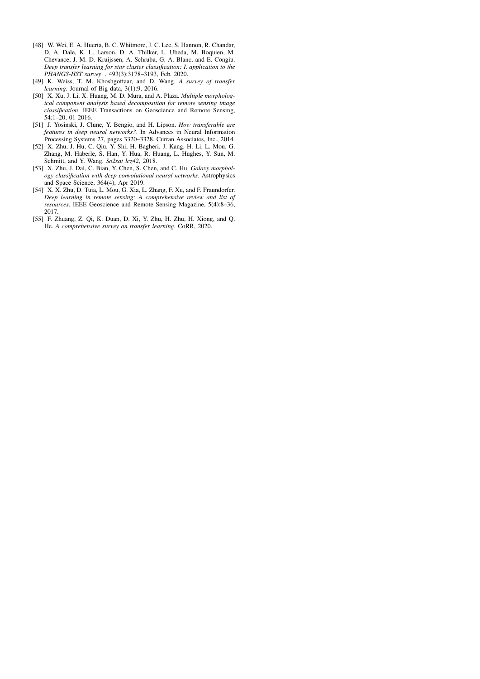- <span id="page-7-4"></span>[48] W. Wei, E. A. Huerta, B. C. Whitmore, J. C. Lee, S. Hannon, R. Chandar, D. A. Dale, K. L. Larson, D. A. Thilker, L. Ubeda, M. Boquien, M. Chevance, J. M. D. Kruijssen, A. Schruba, G. A. Blanc, and E. Congiu. *Deep transfer learning for star cluster classification: I. application to the PHANGS-HST survey*. , 493(3):3178–3193, Feb. 2020.
- <span id="page-7-0"></span>[49] K. Weiss, T. M. Khoshgoftaar, and D. Wang. *A survey of transfer learning*. Journal of Big data, 3(1):9, 2016.
- <span id="page-7-5"></span>[50] X. Xu, J. Li, X. Huang, M. D. Mura, and A. Plaza. *Multiple morphological component analysis based decomposition for remote sensing image classification*. IEEE Transactions on Geoscience and Remote Sensing, 54:1–20, 01 2016.
- <span id="page-7-1"></span>[51] J. Yosinski, J. Clune, Y. Bengio, and H. Lipson. *How transferable are features in deep neural networks?*. In Advances in Neural Information Processing Systems 27, pages 3320–3328. Curran Associates, Inc., 2014.
- <span id="page-7-3"></span>[52] X. Zhu, J. Hu, C. Qiu, Y. Shi, H. Bagheri, J. Kang, H. Li, L. Mou, G. Zhang, M. Haberle, S. Han, Y. Hua, R. Huang, L. Hughes, Y. Sun, M. Schmitt, and Y. Wang. *So2sat lcz42*, 2018.
- <span id="page-7-7"></span>[53] X. Zhu, J. Dai, C. Bian, Y. Chen, S. Chen, and C. Hu. *Galaxy morphology classification with deep convolutional neural networks*. Astrophysics and Space Science, 364(4), Apr 2019.
- <span id="page-7-6"></span>[54] X. X. Zhu, D. Tuia, L. Mou, G. Xia, L. Zhang, F. Xu, and F. Fraundorfer. *Deep learning in remote sensing: A comprehensive review and list of resources*. IEEE Geoscience and Remote Sensing Magazine, 5(4):8–36, 2017.
- <span id="page-7-2"></span>[55] F. Zhuang, Z. Qi, K. Duan, D. Xi, Y. Zhu, H. Zhu, H. Xiong, and Q. He. *A comprehensive survey on transfer learning*. CoRR, 2020.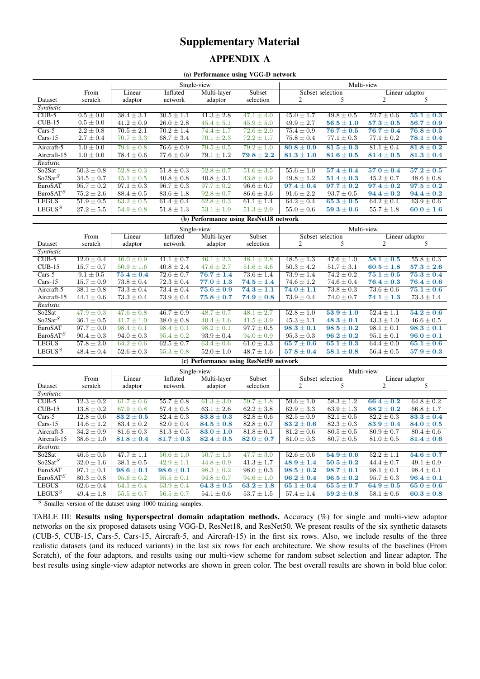# Supplementary Material APPENDIX A

(a) Performance using VGG-D network

|                                                                         |                | Single-view    |                |                |                           | Multi-view                |                       |                |                |  |
|-------------------------------------------------------------------------|----------------|----------------|----------------|----------------|---------------------------|---------------------------|-----------------------|----------------|----------------|--|
|                                                                         | From           | Linear         | Inflated       | Multi-layer    | Subset                    | Subset selection          |                       | Linear adaptor |                |  |
| Dataset                                                                 | scratch        | adaptor        | network        | adaptor        | selection                 | 2                         |                       | 2              |                |  |
| Synthetic                                                               |                |                |                |                |                           |                           |                       |                |                |  |
| $CUB-5$                                                                 | $0.5 \pm 0.0$  | $38.4 \pm 3.1$ | $30.5 \pm 1.1$ | $41.3 \pm 2.8$ | $47.1 \pm 4.0$            | $45.0 \pm 1.7$            | $\sqrt{49.8} \pm 0.5$ | $52.7 \pm 0.6$ | $55.1 \pm 0.3$ |  |
| $CUB-15$                                                                | $0.5 \pm 0.0$  | $41.2 \pm 0.9$ | $26.0 \pm 2.8$ | $45.4 \pm 5.1$ | $45.9 \pm 5.0$            | $49.9 \pm 2.7$            | $56.5 \pm 1.0$        | $57.3 \pm 0.5$ | $56.7 \pm 0.9$ |  |
| $Cars-5$                                                                | $2.2 \pm 0.8$  | $70.5 \pm 2.1$ | $70.2 \pm 1.4$ | $74.4 \pm 1.7$ | $72.6 \pm 2.0$            | $75.4 \pm 0.9$            | $76.7 \pm 0.5$        | $76.7 \pm 0.4$ | $76.8 \pm 0.5$ |  |
| $Cars-15$                                                               | $2.7 \pm 0.4$  | $70.7 \pm 3.3$ | $68.7 \pm 3.4$ | $70.1 \pm 2.3$ | $72.2 \pm 1.7$            | $75.8 \pm 0.4$            | $77.1 \pm 0.3$        | $77.1 \pm 0.2$ | $78.1 \pm 0.4$ |  |
| Aircraft-5                                                              | $1.0 \pm 0.0$  | $79.6 \pm 0.8$ | $76.6 \pm 0.9$ | $79.5 \pm 0.5$ | $79.2 + 1.0$              | $80.8 \pm 0.9$            | $81.5 \pm 0.3$        | $81.1 \pm 0.4$ | $81.8 \pm 0.2$ |  |
| Aircraft-15                                                             | $1.0 \pm 0.0$  | $78.4 \pm 0.6$ | $77.6 \pm 0.9$ | $79.1 \pm 1.2$ | $79.8 \pm 2.2$            | $81.3 \pm 1.0$            | $81.6 \pm 0.5$        | $81.4 \pm 0.5$ | $81.3 \pm 0.4$ |  |
| Realistic                                                               |                |                |                |                |                           |                           |                       |                |                |  |
| So <sub>2</sub> Sat                                                     | $50.3 \pm 0.8$ | $52.8 \pm 0.3$ | $51.8 \pm 0.3$ | $52.8 \pm 0.7$ | $\overline{51.6} \pm 3.5$ | $\overline{55.6} \pm 1.0$ | $57.4 \pm 0.4$        | $57.0 \pm 0.4$ | $57.2 \pm 0.5$ |  |
| So2Sat <sup>S</sup>                                                     | $34.5 \pm 0.7$ | $45.1 \pm 0.5$ | $40.8 \pm 0.8$ | $40.8 \pm 3.1$ | $43.8 \pm 4.9$            | $49.8 \pm 1.2$            | $51.4 \pm 0.3$        | $45.2 \pm 0.7$ | $48.6 \pm 0.8$ |  |
| EuroSAT                                                                 | $95.7 \pm 0.2$ | $97.1 \pm 0.3$ | $96.7 \pm 0.3$ | $97.7 \pm 0.2$ | $96.6 \pm 0.7$            | $97.4 \pm 0.4$            | $97.7 \pm 0.2$        | $97.4 \pm 0.2$ | $97.5 \pm 0.2$ |  |
| EuroSAT <sup>S</sup>                                                    | $75.2 \pm 2.6$ | $88.4 \pm 0.5$ | $83.6 \pm 1.8$ | $92.8 \pm 0.7$ | $86.6 \pm 3.6$            | $91.6 \pm 2.2$            | $93.7 \pm 0.5$        | $94.4 \pm 0.2$ | $94.4 \pm 0.2$ |  |
| <b>LEGUS</b>                                                            | $51.9 \pm 0.5$ | $63.2 \pm 0.5$ | $61.4 \pm 0.4$ | $62.8 \pm 0.3$ | $61.1 \pm 1.4$            | $64.2 \pm 0.4$            | $65.3 \pm 0.5$        | $64.2 \pm 0.4$ | $63.9 \pm 0.6$ |  |
| LEGUS <sup>S</sup>                                                      | $27.2 \pm 5.5$ | $54.9 \pm 0.8$ | $51.8 \pm 1.3$ | $53.1 \pm 1.9$ | $51.3 \pm 2.9$            | $55.0 \pm 0.6$            | $59.3 \pm 0.6$        | $55.7 \pm 1.8$ | $60.0 \pm 1.6$ |  |
| $P = \mathbf{M}$<br>$\alpha \cdot \mathbf{n}$ $\alpha$<br>. .<br>$\sim$ |                |                |                |                |                           |                           |                       |                |                |  |

#### (b) Performance using ResNet18 network

|                                        |                | Single-view    |                |                |                | Multi-view       |                |                |                |  |
|----------------------------------------|----------------|----------------|----------------|----------------|----------------|------------------|----------------|----------------|----------------|--|
|                                        | From           | Linear         | Inflated       | Multi-layer    | Subset         | Subset selection |                | Linear adaptor |                |  |
| Dataset                                | scratch        | adaptor        | network        | adaptor        | selection      |                  |                | 2              |                |  |
| Synthetic                              |                |                |                |                |                |                  |                |                |                |  |
| $CUB-5$                                | $12.0 \pm 0.4$ | $46.0 \pm 0.9$ | $41.1 \pm 0.7$ | $46.1 \pm 2.3$ | $48.1 \pm 2.8$ | $48.5 \pm 1.3$   | $47.6 \pm 1.0$ | $58.1 \pm 0.5$ | $55.8 \pm 0.3$ |  |
| $CUB-15$                               | $15.7 \pm 0.7$ | $50.9 \pm 1.6$ | $40.8 \pm 2.4$ | $47.6 \pm 2.7$ | $51.6 \pm 4.6$ | $50.3 \pm 4.2$   | $51.7 \pm 3.1$ | $60.5 \pm 1.8$ | $57.3 \pm 2.6$ |  |
| $Cars-5$                               | $9.1 \pm 0.5$  | $75.4 \pm 0.4$ | $72.6 \pm 0.7$ | $76.7 \pm 1.4$ | $73.6 \pm 1.4$ | $73.9 \pm 1.4$   | $74.2 \pm 0.2$ | $75.1 \pm 0.5$ | $75.3 \pm 0.4$ |  |
| $Cars-15$                              | $15.7 \pm 0.9$ | $73.8 \pm 0.4$ | $72.3 \pm 0.4$ | $77.0 \pm 1.3$ | $74.5 \pm 1.4$ | $74.6 \pm 1.2$   | $74.6 \pm 0.4$ | $76.4 \pm 0.3$ | $76.4 \pm 0.6$ |  |
| Aircraft-5                             | $38.1 \pm 0.8$ | $73.3 \pm 0.4$ | $73.4 \pm 0.4$ | $75.6 \pm 0.9$ | $74.3 \pm 1.1$ | $74.0 \pm 1.1$   | $73.8 \pm 0.3$ | $73.6 \pm 0.6$ | $75.1 \pm 0.6$ |  |
| Aircraft-15                            | $44.1 \pm 0.6$ | $73.3 \pm 0.4$ | $73.9 \pm 0.4$ | $75.8 \pm 0.7$ | $74.9 \pm 0.8$ | $73.9 \pm 0.4$   | $74.0 \pm 0.7$ | $74.1 \pm 1.3$ | $73.3 \pm 1.4$ |  |
| Realistic                              |                |                |                |                |                |                  |                |                |                |  |
| So <sub>2</sub> Sat                    | $47.9 \pm 0.3$ | $47.6 \pm 0.8$ | $46.7 \pm 0.9$ | $48.7 \pm 0.7$ | $48.1 \pm 2.7$ | $52.8 \pm 1.0$   | $53.9 \pm 1.0$ | $52.4 \pm 1.1$ | $54.2 \pm 0.6$ |  |
| So2Sat <sup>S</sup>                    | $36.1 \pm 0.5$ | $41.7 \pm 1.0$ | $38.0 \pm 0.8$ | $40.4 \pm 1.6$ | $41.5 \pm 3.9$ | $45.3 \pm 1.1$   | $48.3 \pm 0.1$ | $43.3 \pm 1.0$ | $46.6 \pm 0.5$ |  |
| EuroSAT                                | $97.7 \pm 0.0$ | $98.4 \pm 0.1$ | $98.4 \pm 0.1$ | $98.2 \pm 0.1$ | $97.7 \pm 0.5$ | $98.3 \pm 0.1$   | $98.5 \pm 0.2$ | $98.1 \pm 0.1$ | $98.3 \pm 0.1$ |  |
| EuroSAT <sup>S</sup>                   | $90.4 \pm 0.3$ | $94.0 \pm 0.3$ | $95.4 \pm 0.2$ | $93.9 \pm 0.4$ | $94.0 \pm 0.9$ | $95.3 \pm 0.3$   | $96.2 \pm 0.2$ | $95.1 \pm 0.1$ | $96.0 \pm 0.1$ |  |
| <b>LEGUS</b>                           | $57.8 \pm 2.0$ | $64.2 \pm 0.6$ | $62.5 \pm 0.7$ | $63.4 \pm 0.6$ | $61.0 \pm 3.3$ | $65.7 \pm 0.6$   | $65.1 \pm 0.3$ | $64.4 \pm 0.0$ | $65.1 \pm 0.6$ |  |
| LEGUS <sup>S</sup>                     | $48.4 \pm 0.4$ | $52.6 \pm 0.3$ | $55.3 \pm 0.8$ | $52.0 \pm 1.0$ | $48.7 \pm 1.6$ | $57.8 \pm 0.4$   | $58.1 \pm 0.8$ | $56.4 \pm 0.5$ | $57.9 \pm 0.3$ |  |
| (c) Performance using ResNet50 network |                |                |                |                |                |                  |                |                |                |  |

|                     |                | Single-view    |                           |                |                | Multi-view              |                |                           |                |  |
|---------------------|----------------|----------------|---------------------------|----------------|----------------|-------------------------|----------------|---------------------------|----------------|--|
|                     | From           | Linear         | Inflated                  | Multi-layer    | Subset         | Subset selection        |                | Linear adaptor            |                |  |
| Dataset             | scratch        | adaptor        | network                   | adaptor        | selection      | 2                       | 5              | 2                         |                |  |
| Synthetic           |                |                |                           |                |                |                         |                |                           |                |  |
| $CUB-5$             | $12.3 \pm 0.2$ | $61.7 \pm 0.6$ | $55.7 \pm 0.8$            | $61.3 \pm 3.0$ | $59.7 \pm 1.8$ | $59.6 \pm 1.0$          | $58.3 \pm 1.2$ | $66.4 \pm 0.2$            | $64.8 \pm 0.2$ |  |
| $CUB-15$            | $13.8 \pm 0.2$ | $67.9 \pm 0.8$ | $57.4 \pm 0.5$            | $63.1 \pm 2.6$ | $62.2 \pm 3.8$ | $62.9 \pm 3.3$          | $63.9 \pm 1.3$ | $68.2 \pm 0.2$            | $66.8 \pm 1.7$ |  |
| $Cars-5$            | $12.8 \pm 0.6$ | $83.2 \pm 0.5$ | $82.4 \pm 0.3$            | $83.8 \pm 0.3$ | $82.8 \pm 0.6$ | $82.5 \pm 0.9$          | $82.1 \pm 0.5$ | $82.2 \pm 0.3$            | $83.3 \pm 0.4$ |  |
| $Cars-15$           | $14.6 \pm 1.2$ | $83.4 \pm 0.2$ | $82.0 \pm 0.4$            | $84.5 \pm 0.8$ | $82.8 \pm 0.7$ | $83.2 \pm 0.6$          | $82.3 \pm 0.3$ | $83.9 \pm 0.4$            | $84.0 \pm 0.5$ |  |
| Aircraft-5          | $34.2 \pm 0.9$ | $81.6 \pm 0.3$ | $81.3 \pm 0.5$            | $83.0 \pm 1.0$ | $81.8 \pm 0.1$ | $81.2 \pm 0.6$          | $80.5 \pm 0.5$ | $80.9 \pm 0.7$            | $80.4 \pm 0.6$ |  |
| Aircraft-15         | $38.6 \pm 1.0$ | $81.8 \pm 0.4$ | $81.7 \pm 0.3$            | $82.4 \pm 0.5$ | $82.0 \pm 0.7$ | $81.0 \pm 0.3$          | $80.7 \pm 0.5$ | $81.0 \pm 0.5$            | $81.4 \pm 0.6$ |  |
| Realistic           |                |                |                           |                |                |                         |                |                           |                |  |
| So <sub>2</sub> Sat | $46.5 \pm 0.5$ | $47.7 \pm 1.1$ | $\overline{50.6} \pm 1.0$ | $50.7 \pm 1.3$ | $47.7 \pm 3.0$ | $52.6 \pm 0.6$          | $54.9 \pm 0.6$ | $\overline{52.2} \pm 1.1$ | $54.6 \pm 0.7$ |  |
| So2Sat <sup>S</sup> | $32.0 \pm 1.6$ | $38.1 \pm 0.5$ | $42.9 \pm 1.1$            | $44.8 \pm 0.9$ | $41.3 \pm 1.7$ | $48.9 \pm 1.4$          | $50.5 \pm 0.2$ | $44.4 \pm 0.7$            | $49.1 \pm 0.9$ |  |
| EuroSAT             | $97.1 \pm 0.1$ | $98.6 \pm 0.1$ | $98.6 \pm 0.1$            | $98.3 \pm 0.2$ | $98.0 \pm 0.3$ | $\overline{98.5\pm0.2}$ | $98.7 \pm 0.1$ | $98.1 \pm 0.1$            | $98.4 \pm 0.1$ |  |
| EuroSAT $^S$        | $80.3 \pm 0.8$ | $95.6 \pm 0.2$ | $95.5 \pm 0.1$            | $94.8 \pm 0.7$ | $94.6 \pm 1.0$ | $96.2 \pm 0.4$          | $96.5 \pm 0.2$ | $95.7 \pm 0.3$            | $96.4 \pm 0.1$ |  |
| <b>LEGUS</b>        | $62.6 \pm 0.4$ | $64.1 \pm 0.4$ | $63.9 \pm 0.4$            | $64.3 \pm 0.5$ | $63.2 \pm 1.8$ | $65.1 \pm 0.4$          | $65.5 \pm 0.7$ | $64.9 \pm 0.5$            | $65.0 \pm 0.6$ |  |
| LEGUS <sup>S</sup>  | $49.4 \pm 1.8$ | $55.5 \pm 0.7$ | $56.5 \pm 0.7$            | $54.1 \pm 0.6$ | $53.7 \pm 1.5$ | $57.4 \pm 1.4$          | $59.2 \pm 0.8$ | $58.1 \pm 0.6$            | $60.3 \pm 0.8$ |  |

 $S$  Smaller version of the dataset using 1000 training samples.

TABLE III: Results using hyperspectral domain adaptation methods. Accuracy (%) for single and multi-view adaptor networks on the six proposed datasets using VGG-D, ResNet18, and ResNet50. We present results of the six synthetic datasets (CUB-5, CUB-15, Cars-5, Cars-15, Aircraft-5, and Aircraft-15) in the first six rows. Also, we include results of the three realistic datasets (and its reduced variants) in the last six rows for each architecture. We show results of the baselines (From Scratch), of the four adaptors, and results using our multi-view scheme for random subset selection and linear adaptor. The best results using single-view adaptor networks are shown in green color. The best overall results are shown in bold blue color.